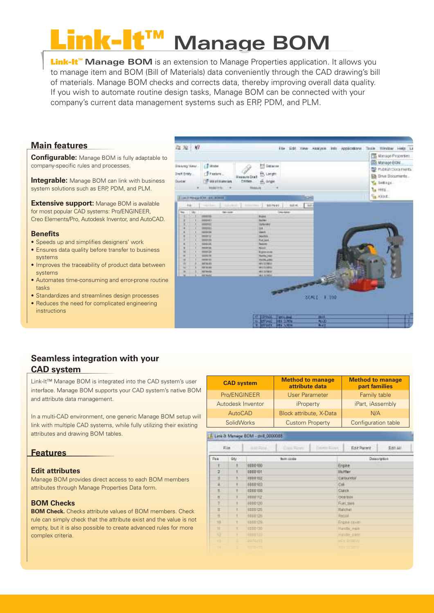# Link-It™ **Manage BOM**

**Link-It™ Manage BOM** is an extension to Manage Properties application. It allows you to manage item and BOM (Bill of Materials) data conveniently through the CAD drawing's bill of materials. Manage BOM checks and corrects data, thereby improving overall data quality. If you wish to automate routine design tasks, Manage BOM can be connected with your company's current data management systems such as ERP, PDM, and PLM.

## **Main features**

**Configurable:** Manage BOM is fully adaptable to company-specific rules and processes.

**Integrable:** Manage BOM can link with business system solutions such as ERP, PDM, and PLM.

**Extensive support:** Manage BOM is available for most popular CAD systems: Pro/ENGINEER, Creo Elements/Pro, Autodesk Inventor, and AutoCAD.

### **Benefits**

- Speeds up and simplifies designers' work
- Ensures data quality before transfer to business systems
- Improves the traceability of product data between systems
- Automates time-consuming and error-prone routine tasks
- Standardizes and streamlines design processes
- Reduces the need for complicated engineering instructions



## **Seamless integration with your CAD system**

Link-It™ Manage BOM is integrated into the CAD system's user interface. Manage BOM supports your CAD system's native BOM and attribute data management.

In a multi-CAD environment, one generic Manage BOM setup will link with multiple CAD systems, while fully utilizing their existing attributes and drawing BOM tables.

## **Features**

## **Edit attributes**

Manage BOM provides direct access to each BOM members attributes through Manage Properties Data form.

## **BOM Checks**

**BOM Check.** Checks attribute values of BOM members. Check rule can simply check that the attribute exist and the value is not empty, but it is also possible to create advanced rules for more complex criteria.

|      | <b>CAD system</b> |                                    | <b>Method to manage</b><br>attribute data | <b>Method to manage</b><br>part families |                  |         |  |  |
|------|-------------------|------------------------------------|-------------------------------------------|------------------------------------------|------------------|---------|--|--|
|      |                   | Pro/ENGINEER                       | User Parameter                            | Family table                             |                  |         |  |  |
|      |                   | Autodesk Inventor                  | <i>iProperty</i>                          | iPart, iAssembly                         |                  |         |  |  |
|      | <b>AutoCAD</b>    |                                    | Block attribute, X-Data                   | N/A                                      |                  |         |  |  |
|      | SolidWorks        |                                    | <b>Custom Property</b>                    | Configuration table                      |                  |         |  |  |
|      |                   | Link-3: Manage BDM - drill_0000088 |                                           |                                          |                  |         |  |  |
| File |                   | <b>ARRIVA</b>                      | Clay, Fires                               | Haisie Bloys                             | For Parent       | E41 All |  |  |
| Pas  | ůtv               |                                    | Basic dodg                                |                                          | Description      |         |  |  |
|      |                   | 0000000                            |                                           |                                          | Ergine           |         |  |  |
| z    |                   | 10031071                           |                                           |                                          | <b>Huffler</b>   |         |  |  |
| ×    |                   | 10001102                           |                                           |                                          | Cirtiuretor      |         |  |  |
| ä    |                   | 0000103                            |                                           | Call                                     |                  |         |  |  |
| ×    | п                 | 00001002                           |                                           |                                          | Clark            |         |  |  |
| B.   | ¥                 | 1000112                            |                                           |                                          | <b>TOOSTERN</b>  |         |  |  |
| Y    |                   | 0000120                            |                                           |                                          | Fuel Milk        |         |  |  |
| 找    | ۲                 | 0000125                            |                                           |                                          | Heichet          |         |  |  |
| R    |                   | 6688126                            |                                           |                                          | <b>Hecol</b>     |         |  |  |
| 13   |                   | 0088129                            |                                           |                                          | Engine cover     |         |  |  |
| п    |                   | 0000130                            |                                           |                                          | Handal main      |         |  |  |
| 12   |                   | 10001133                           |                                           |                                          | Handle parte     |         |  |  |
| 13   |                   | <b>DOTE/ES</b>                     |                                           |                                          | <b>HEX SCREW</b> |         |  |  |
| 14   |                   | <b>BRITISHES</b>                   |                                           |                                          | <b>HEX SCREW</b> |         |  |  |
|      |                   |                                    |                                           |                                          |                  |         |  |  |